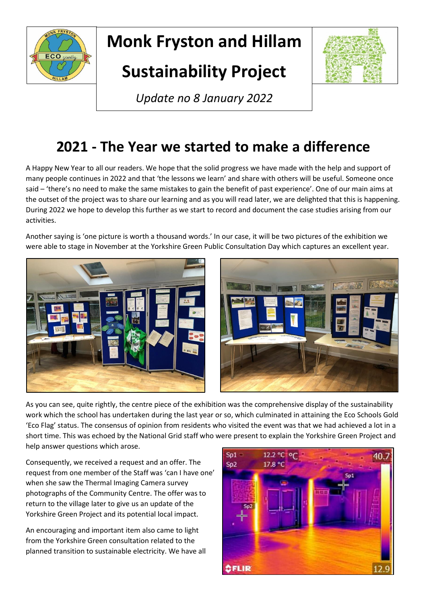

# **Monk Fryston and Hillam**

## **Sustainability Project**



**What's Happening?** *Update no 8 January 2022*

### **2021 - The Year we started to make a difference**

A Happy New Year to all our readers. We hope that the solid progress we have made with the help and support of many people continues in 2022 and that 'the lessons we learn' and share with others will be useful. Someone once said – 'there's no need to make the same mistakes to gain the benefit of past experience'. One of our main aims at the outset of the project was to share our learning and as you will read later, we are delighted that this is happening. During 2022 we hope to develop this further as we start to record and document the case studies arising from our activities.

Another saying is 'one picture is worth a thousand words.' In our case, it will be two pictures of the exhibition we were able to stage in November at the Yorkshire Green Public Consultation Day which captures an excellent year.





As you can see, quite rightly, the centre piece of the exhibition was the comprehensive display of the sustainability work which the school has undertaken during the last year or so, which culminated in attaining the Eco Schools Gold 'Eco Flag' status. The consensus of opinion from residents who visited the event was that we had achieved a lot in a short time. This was echoed by the National Grid staff who were present to explain the Yorkshire Green Project and help answer questions which arose.

Consequently, we received a request and an offer. The request from one member of the Staff was 'can I have one' when she saw the Thermal Imaging Camera survey photographs of the Community Centre. The offer was to return to the village later to give us an update of the Yorkshire Green Project and its potential local impact.

An encouraging and important item also came to light from the Yorkshire Green consultation related to the planned transition to sustainable electricity. We have all

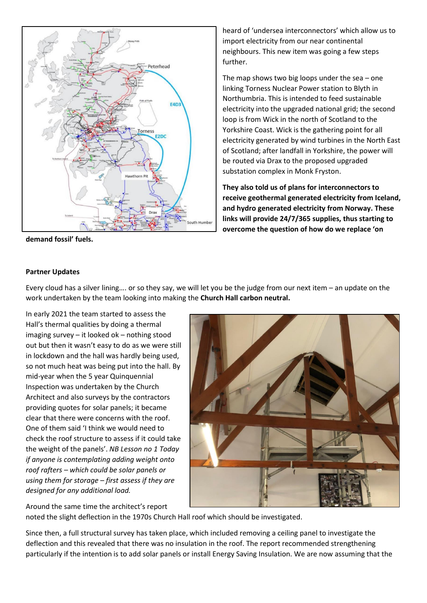

**demand fossil' fuels.** 

heard of 'undersea interconnectors' which allow us to import electricity from our near continental neighbours. This new item was going a few steps further.

The map shows two big loops under the sea – one linking Torness Nuclear Power station to Blyth in Northumbria. This is intended to feed sustainable electricity into the upgraded national grid; the second loop is from Wick in the north of Scotland to the Yorkshire Coast. Wick is the gathering point for all electricity generated by wind turbines in the North East of Scotland; after landfall in Yorkshire, the power will be routed via Drax to the proposed upgraded substation complex in Monk Fryston.

**They also told us of plans for interconnectors to receive geothermal generated electricity from Iceland, and hydro generated electricity from Norway. These links will provide 24/7/365 supplies, thus starting to overcome the question of how do we replace 'on** 

#### **Partner Updates**

Every cloud has a silver lining…. or so they say, we will let you be the judge from our next item – an update on the work undertaken by the team looking into making the **Church Hall carbon neutral.**

In early 2021 the team started to assess the Hall's thermal qualities by doing a thermal imaging survey – it looked ok – nothing stood out but then it wasn't easy to do as we were still in lockdown and the hall was hardly being used, so not much heat was being put into the hall. By mid-year when the 5 year Quinquennial Inspection was undertaken by the Church Architect and also surveys by the contractors providing quotes for solar panels; it became clear that there were concerns with the roof. One of them said 'I think we would need to check the roof structure to assess if it could take the weight of the panels'. *NB Lesson no 1 Today if anyone is contemplating adding weight onto roof rafters – which could be solar panels or using them for storage – first assess if they are designed for any additional load.*

Around the same time the architect's report



noted the slight deflection in the 1970s Church Hall roof which should be investigated.

Since then, a full structural survey has taken place, which included removing a ceiling panel to investigate the deflection and this revealed that there was no insulation in the roof. The report recommended strengthening particularly if the intention is to add solar panels or install Energy Saving Insulation. We are now assuming that the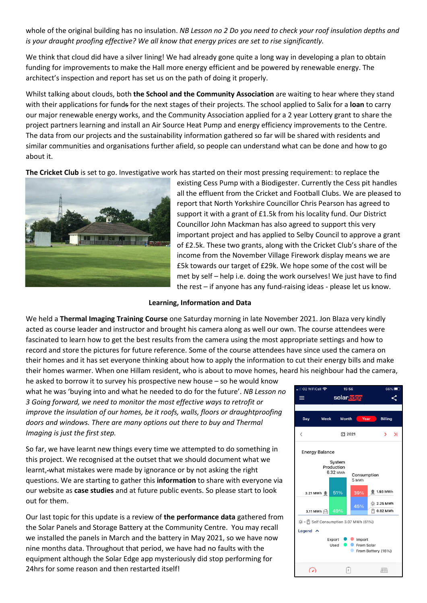whole of the original building has no insulation. *NB Lesson no 2 Do you need to check your roof insulation depths and is your draught proofing effective? We all know that energy prices are set to rise significantly.* 

We think that cloud did have a silver lining! We had already gone quite a long way in developing a plan to obtain funding for improvements to make the Hall more energy efficient and be powered by renewable energy. The architect's inspection and report has set us on the path of doing it properly.

Whilst talking about clouds, both **the School and the Community Association** are waiting to hear where they stand with their applications for funds for the next stages of their projects. The school applied to Salix for a **loan** to carry our major renewable energy works, and the Community Association applied for a 2 year Lottery grant to share the project partners learning and install an Air Source Heat Pump and energy efficiency improvements to the Centre. The data from our projects and the sustainability information gathered so far will be shared with residents and similar communities and organisations further afield, so people can understand what can be done and how to go about it.

**The Cricket Club** is set to go. Investigative work has started on their most pressing requirement: to replace the



existing Cess Pump with a Biodigester. Currently the Cess pit handles all the effluent from the Cricket and Football Clubs. We are pleased to report that North Yorkshire Councillor Chris Pearson has agreed to support it with a grant of £1.5k from his locality fund. Our District Councillor John Mackman has also agreed to support this very important project and has applied to Selby Council to approve a grant of £2.5k. These two grants, along with the Cricket Club's share of the income from the November Village Firework display means we are £5k towards our target of £29k. We hope some of the cost will be met by self – help i.e. doing the work ourselves! We just have to find the rest – if anyone has any fund-raising ideas - please let us know.

#### **Learning, Information and Data**

We held a **Thermal Imaging Training Course** one Saturday morning in late November 2021. Jon Blaza very kindly acted as course leader and instructor and brought his camera along as well our own. The course attendees were fascinated to learn how to get the best results from the camera using the most appropriate settings and how to record and store the pictures for future reference. Some of the course attendees have since used the camera on their homes and it has set everyone thinking about how to apply the information to cut their energy bills and make their homes warmer. When one Hillam resident, who is about to move homes, heard his neighbour had the camera,

he asked to borrow it to survey his prospective new house – so he would know what he was 'buying into and what he needed to do for the future'. *NB Lesson no 3 Going forward, we need to monitor the most effective ways to retrofit or improve the insulation of our homes, be it roofs, walls, floors or draughtproofing doors and windows. There are many options out there to buy and Thermal Imaging is just the first step.*

So far, we have learnt new things every time we attempted to do something in this project. We recognised at the outset that we should document what we learnt, what mistakes were made by ignorance or by not asking the right questions. We are starting to gather this **information** to share with everyone via our website as **case studies** and at future public events. So please start to look out for them.

Our last topic for this update is a review of **the performance data** gathered from the Solar Panels and Storage Battery at the Community Centre. You may recall we installed the panels in March and the battery in May 2021, so we have now nine months data. Throughout that period, we have had no faults with the equipment although the Solar Edge app mysteriously did stop performing for 24hrs for some reason and then restarted itself!

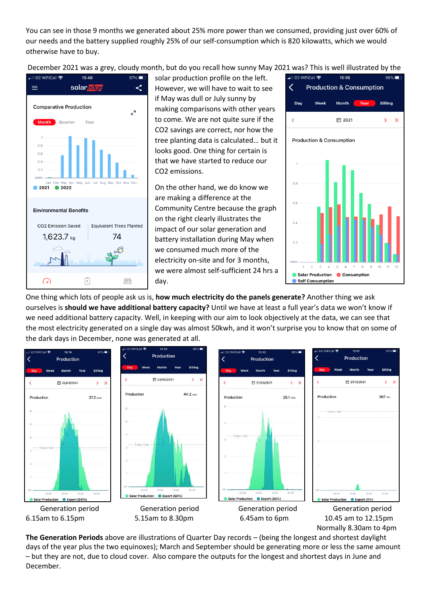You can see in those 9 months we generated about 25% more power than we consumed, providing just over 60% of our needs and the battery supplied roughly 25% of our self-consumption which is 820 kilowatts, which we would otherwise have to buy.

December 2021 was a grey, cloudy month, but do you recall how sunny May 2021 was? This is well illustrated by the



solar production profile on the left. However, we will have to wait to see if May was dull or July sunny by making comparisons with other years to come. We are not quite sure if the CO2 savings are correct, nor how the tree planting data is calculated… but it looks good. One thing for certain is that we have started to reduce our CO2 emissions.

On the other hand, we do know we are making a difference at the Community Centre because the graph on the right clearly illustrates the impact of our solar generation and battery installation during May when we consumed much more of the electricity on-site and for 3 months, we were almost self-sufficient 24 hrs a day.



One thing which lots of people ask us is, **how much electricity do the panels generate?** Another thing we ask ourselves is **should we have additional battery capacity?** Until we have at least a full year's data we won't know if we need additional battery capacity. Well, in keeping with our aim to look objectively at the data, we can see that the most electricity generated on a single day was almost 50kwh, and it won't surprise you to know that on some of the dark days in December, none was generated at all.



**The Generation Periods** above are illustrations of Quarter Day records – (being the longest and shortest daylight days of the year plus the two equinoxes); March and September should be generating more or less the same amount – but they are not, due to cloud cover. Also compare the outputs for the longest and shortest days in June and December.